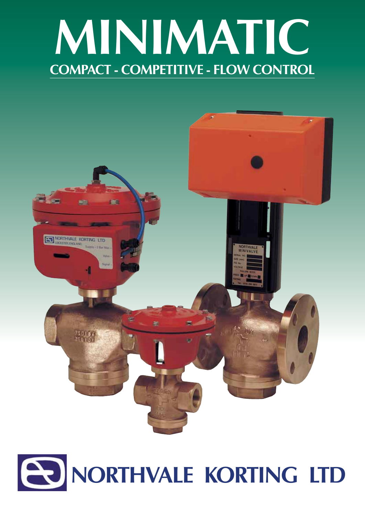



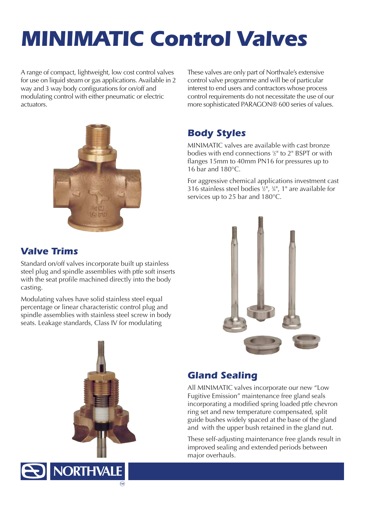# *MINIMATIC Control Valves*

A range of compact, lightweight, low cost control valves for use on liquid steam or gas applications. Available in 2 way and 3 way body configurations for on/off and modulating control with either pneumatic or electric actuators.



These valves are only part of Northvale's extensive control valve programme and will be of particular interest to end users and contractors whose process control requirements do not necessitate the use of our more sophisticated PARAGON® 600 series of values.

## *Body Styles*

MINIMATIC valves are available with cast bronze bodies with end connections 1 ⁄2" to 2" BSPT or with flanges 15mm to 40mm PN16 for pressures up to 16 bar and 180°C.

For aggressive chemical applications investment cast 316 stainless steel bodies  $\frac{1}{2}$ ",  $\frac{3}{4}$ ", 1" are available for services up to 25 bar and 180°C.

## *Valve Trims*

Standard on/off valves incorporate built up stainless steel plug and spindle assemblies with ptfe soft inserts with the seat profile machined directly into the body casting.

Modulating valves have solid stainless steel equal percentage or linear characteristic control plug and spindle assemblies with stainless steel screw in body seats. Leakage standards, Class IV for modulating

**NORTHVALE** 

™



## *Gland Sealing*

All MINIMATIC valves incorporate our new "Low Fugitive Emission" maintenance free gland seals incorporating a modified spring loaded ptfe chevron ring set and new temperature compensated, split guide bushes widely spaced at the base of the gland and with the upper bush retained in the gland nut.

These self-adjusting maintenance free glands result in improved sealing and extended periods between major overhauls.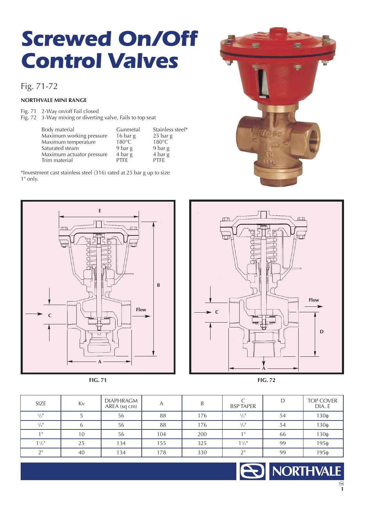# *Screwed On/Off Control Valves*

## Fig. 71-72

#### **NORTHVALE MINI RANGE**

Fig. 71 2-Way on/off Fail closed Fig. 72 3-Way mixing or diverting valve, Fails to top seat

| Body material             | Gunmetal        | Stainless steel*             |
|---------------------------|-----------------|------------------------------|
| Maximum working pressure  | 16 bar g        | $25$ bar g                   |
| Maximum temperature       | $180^{\circ}$ C | $180^{\circ}$ C              |
| Saturated steam           | 9 bar g         | 9 bar g                      |
| Maximum actuator pressure | 4 bar g         | $4 \text{ bar} \,\mathrm{g}$ |
| Trim material             | <b>PTFF</b>     | <b>PTFF</b>                  |

\*Investment cast stainless steel (316) rated at 25 bar g up to size 1" only.









| SIZE                        | Kv | <b>DIAPHRAGM</b><br>AREA (sq cm) | A   | B   | <b>BSPTAPER</b>             | D  | TOP COVER<br>DIA. E |
|-----------------------------|----|----------------------------------|-----|-----|-----------------------------|----|---------------------|
| $\frac{1}{2}$ <sup>11</sup> |    | 56                               | 88  | 176 | $\frac{1}{2}$ <sup>11</sup> | 54 | $130\phi$           |
| $^{3}/_{4}$ <sup>11</sup>   | b  | 56                               | 88  | 176 | $3/4$ <sup>11</sup>         | 54 | $130\phi$           |
| 1 <sup>H</sup>              | 10 | 56                               | 104 | 200 | 1 <sup>H</sup>              | 66 | $130\phi$           |
| $1\frac{1}{2}$              | 25 | 134                              | 155 | 325 | $1^{1/2}$                   | 99 | $195\phi$           |
| 2 <sup>H</sup>              | 40 | 134                              | 178 | 330 | $\bigcap$                   | 99 | $195\phi$           |

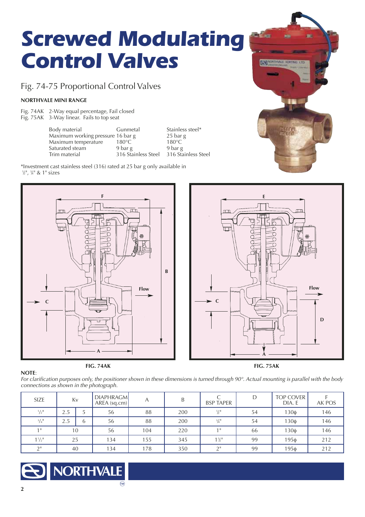# *Screwed Modulating Control Valves*

Fig. 74-75 Proportional Control Valves

#### **NORTHVALE MINI RANGE**

Fig. 74AK 2-Way equal percentage, Fail closed Fig. 75AK 3-Way linear. Fails to top seat

> Body material Gunmetal Stainless steel\*<br>
> Maximum working pressure 16 bar g 25 bar g Maximum working pressure 16 bar g  $25$  bar Maximum temperature  $180^{\circ}$ C  $180^{\circ}$ C Maximum temperature 180°C 180°C<br>Saturated steam 9 bar g 9 bar g Saturated steam 9 bar g 9 bar g 9 bar g<br>Trim material 316 Stainless Steel 316 Stainless Steel 316 Stainless Steel

\*Investment cast stainless steel (316) rated at 25 bar g only available in 1 ⁄2", 3 ⁄4" & 1" sizes





**September** 

**EXTINGERIALE ROSITIVE LTD** 



*For clarification purposes only, the positioner shown in these dimensions is turned through 90°. Actual mounting is parallel with the body connections as shown in the photograph.*

| SIZE                        | Kv  |   | <b>DIAPHRAGM</b><br>$AREA$ (sq.cm) |     | B   | <b>BSP TAPER</b>            | D  | <b>TOP COVER</b><br>DIA. E | AK POS |
|-----------------------------|-----|---|------------------------------------|-----|-----|-----------------------------|----|----------------------------|--------|
| $\frac{1}{2}$ <sup>11</sup> | 2.5 | ت | 56                                 | 88  | 200 | $\frac{1}{2}$ <sup>11</sup> | 54 | $130\phi$                  | 146    |
| $3/4$ <sup>11</sup>         | 2.5 | b | 56                                 | 88  | 200 | $\frac{3}{4}$ <sup>11</sup> | 54 | $130\phi$                  | 146    |
| 1 <sup>  </sup>             | 10  |   | 56                                 | 104 | 220 | $1$ II                      | 66 | $130\phi$                  | 146    |
| $1^{1/2}$                   | 25  |   | 134                                | 155 | 345 | $1\frac{1}{2}$              | 99 | 195ф                       | 212    |
| $\bigcap$                   | 40  |   | 134                                | 178 | 350 | $\bigcap$                   | 99 | $195\phi$                  | 212    |

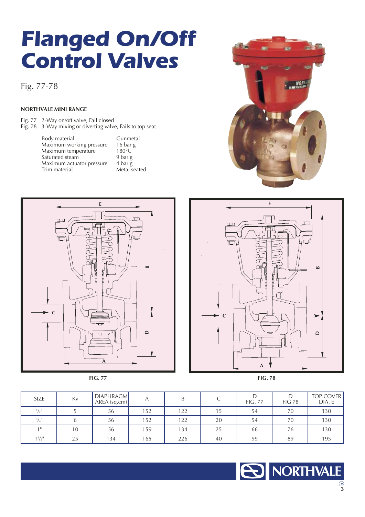# *Flanged On/Off Control Valves*

Fig. 77-78

#### **NORTHVALE MINI RANGE**

Fig. 77 2-Way on/off valve, Fail closed Fig. 78 3-Way mixing or diverting valve, Fails to top seat

> Body material Gunmetal<br>
> Maximum working pressure 16 bar g<br>
> Maximum temperature 180°C Maximum working pressure 16 bar g Maximum temperature 180°C Saturated steam 9 bar g Maximum actuator pressure<br>Trim material

4 bar g<br>Metal seated









**NORTHVALE** 

| <b>SIZE</b>                 | Kv | <b>DIAPHRAGM</b><br>$AREA$ (sq.cm) |     | B   |    | <b>FIG. 77</b> | <b>FIG 78</b> | <b>TOP COVER</b><br>DIA. E |
|-----------------------------|----|------------------------------------|-----|-----|----|----------------|---------------|----------------------------|
| $\frac{1}{2}$ <sup>11</sup> |    | 56                                 | 152 | 122 | 15 | 54             | 70            | 130                        |
| $3/4$ <sup>11</sup>         | h  | 56                                 | 152 | 122 | 20 | 54             | 70            | 130                        |
| $1$ II                      | 10 | 56                                 | 59  | 134 | 25 | 66             | 76            | 130                        |
| $1\frac{1}{2}$              | 25 | 134                                | 165 | 226 | 40 | 99             | 89            | 195                        |

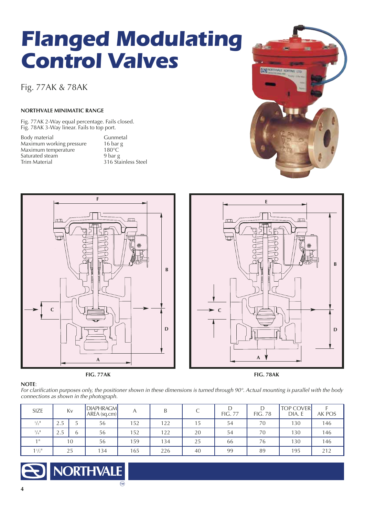# *Flanged Modulating Control Valves*

Fig. 77AK & 78AK

#### **NORTHVALE MINIMATIC RANGE**

Fig. 77AK 2-Way equal percentage. Fails closed. Fig. 78AK 3-Way linear. Fails to top port.

Body material Gunmetal<br>Maximum working pressure 16 bar g Maximum working pressure 16 bar<br>Maximum temperature 180°C Maximum temperature 180°C<br>Saturated steam 9 bar g Saturated steam<br>Trim Material

316 Stainless Steel

![](_page_5_Figure_6.jpeg)

![](_page_5_Figure_7.jpeg)

![](_page_5_Figure_8.jpeg)

**E**

EST MONTHLAUE RORTING IN

▲

▲

▲

#### **NOTE**: *For clarification purposes only, the positioner shown in these dimensions is turned through 90°. Actual mounting is parallel with the body connections as shown in the photograph.*

| SIZE                        |                          | Kv | <b>DIAPHRAGM</b><br>$AREA$ (sq.cm) | А   | B   |    | <b>FIG. 77</b> | <b>FIG. 78</b> | <b>TOP COVER</b><br>DIA. E | AK POS |
|-----------------------------|--------------------------|----|------------------------------------|-----|-----|----|----------------|----------------|----------------------------|--------|
| $\frac{1}{2}$ <sup>11</sup> | $\Omega$ $\Gamma$<br>2.5 |    | 56                                 | 152 | 122 | 15 | 54             | 70             | 130                        | 146    |
| $3/4$ <sup>11</sup>         | $\Omega$<br>4.J          | L  | 56                                 | 152 | 122 | 20 | 54             | 70             | 130                        | 146    |
| 1 <sup>  </sup>             |                          | 10 | 56                                 | 159 | 134 | 25 | 66             | 76             | 130                        | 146    |
| $1^{1/2}$                   |                          | 25 | 134                                | 165 | 226 | 40 | 99             | 89             | 195                        | 212    |

![](_page_5_Picture_12.jpeg)

![](_page_5_Picture_13.jpeg)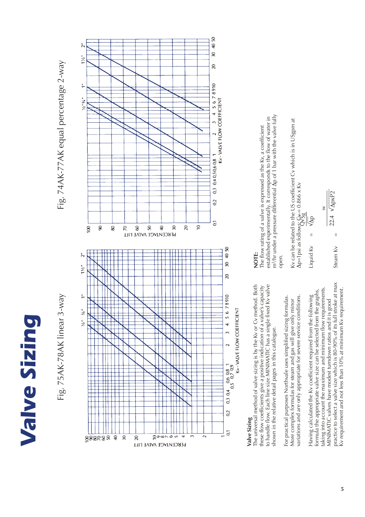# **Valve Sizing** *Valve Sizing*

![](_page_6_Figure_1.jpeg)

## Valve Sizing **Valve Sizing**

The universal method of valve sizing is by the Kv or Cv method. Both these flow coefficients give a positive indication of a valve's capacity<br>to handle flow. Each line size MINIMATIC has a single fixed Kv valve The universal method of valve sizing is by the Kv or Cv method. Both to handle flow. Each line size MINIMATIC has a single fixed Kv valve these flow coefficients give a positive indication of a valve's capacity shown in the relative detail pages in this catalogue. shown in the relative detail pages in this catalogue.

variations and are only appropriate for severe service conditions. For practical purposes Northvale uses simplified sizing formulas. variations and are only appropriate for severe service conditions. For practical purposes Northvale uses simplified sizing formulas. More complex formulas for steam and gas will give only minor More complex formulas for steam and gas will give only minor

practice to select a valve size which is 80-90% of its full stroke at max practice to select a valve size which is 80-90% of its full stroke at max <v requirement and not less than 10% at minimum Kv requirement. taking into account the maximum and minimum flow requirements. taking into account the maximum and minimum flow requirements. formula the appropriate valve size can be selected from the graphs, Kv requirement and not less than 10% at minimum Kv requirement. formula the appropriate valve size can be selected from the graphs, Having calculated the Kv coefficient required from the following Having calculated the Kv coefficient required from the following MINIMATIC valves have modest turndown ratios and it is good MINIMATIC valves have modest turndown ratios and it is good

## **NOTE:**

m<sup>3</sup>/hr under a pressure differential  $\Delta p$  of 1 bar with the valve fully m3/hr under a pressure differential ∆p of 1 bar with the valve fully established experimentally. It corresponds to the flow of water in established experimentally. It corresponds to the flow of water in The flow rating of a valve is expressed as the Kv, a coefficient The flow rating of a valve is expressed as the Kv, a coefficient open.

Ky can be related to the US coefficient Cy which is in USgpm at Kv can be related to the US coefficient Cv which is in USgpm at  $\Delta$ p=1 psi as follow $S_{\rm V}^{\leq \leftarrow =0.866~{\rm x}$  Kv  $\Delta$ p=1 psi as follows:  $\epsilon + 0.866 \times$  Kv

$$
\frac{w}{22.4 \sqrt{\text{apx}P2}}
$$

Steam  $Kv =$ 

 $\overline{\mathbf{u}}$ 

Liquid K $v =$ 

Liquid Kv

 $\sqrt{2}$ 

 $\overline{1}$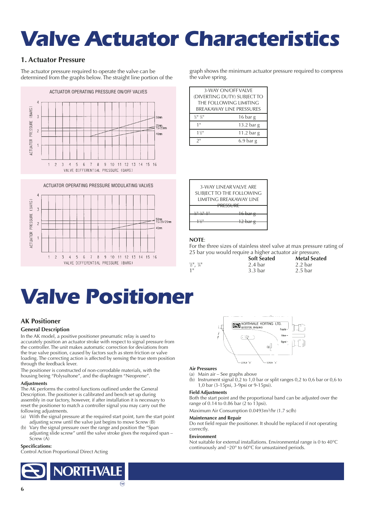# *Valve Actuator Characteristics*

## **1. Actuator Pressure**

The actuator pressure required to operate the valve can be determined from the graphs below. The straight line portion of the

![](_page_7_Figure_3.jpeg)

![](_page_7_Figure_4.jpeg)

graph shows the minimum actuator pressure required to compress the valve spring.

| 3-WAY ON/OFF VALVE          |              |
|-----------------------------|--------------|
| (DIVERTING DUTY) SUBJECT TO |              |
| THE FOLLOWING LIMITING      |              |
| BREAKAWAY LINE PRESSURES    |              |
| 1/113/1                     | 16 bar g     |
| 1 <sup>11</sup>             | 13.2 bar $g$ |
| $1\frac{1}{6}$              | 11.2 bar $g$ |
| $2^{\rm H}$                 | $6.9$ bar g  |

|                        | 3-WAY LINFAR VALVE ARE<br>SUBJECT TO THE FOLLOWING<br>LIMITING BREAKAWAY LINE<br>"CCLIDE |
|------------------------|------------------------------------------------------------------------------------------|
| 1 <u>/ 11 1/ 11 11</u> | ND JUNE<br>معصطكه                                                                        |

#### **NOTE**:

For the three sizes of stainless steel valve at max pressure rating of 25 bar you would require a higher actuator air pressure.

|                                                           | <b>Soft Seated</b> | <b>Metal Seated</b> |
|-----------------------------------------------------------|--------------------|---------------------|
| $\frac{1}{2}$ <sup>11</sup> , $\frac{3}{4}$ <sup>11</sup> | 2.4 bar            | 2.2 bar             |
| 1 <sup>11</sup>                                           | 3.3 <sub>bar</sub> | 2.5 <sub>bar</sub>  |

NORTHVALE KORTING LTD.

## *Valve Positioner*

## **AK Positioner**

#### **General Description**

In the AK model, a positive positioner pneumatic relay is used to accurately position an actuator stroke with respect to signal pressure from the controller. The unit makes automatic correction for deviations from the true valve position, caused by factors such as stem friction or valve loading. The correcting action is affected by sensing the true stem position through the feedback lever.

The positioner is constructed of non-corrodable materials, with the housing being "Polysultone", and the diaphragm "Neoprene".

#### **Adjustments**

The AK performs the control functions outlined under the General Description. The positioner is calibrated and bench set up during assembly in our factory, however, if after installation it is necessary to reset the positioner to match a controller signal you may carry out the following adjustments.

- (a) With the signal pressure at the required start point, turn the start point adjusting screw until the valve just begins to move Screw (B)
- Vary the signal pressure over the range and position the "Span adjusting slide screw" until the valve stroke gives the required span – Screw (A)

#### **Specifications:**

Control Action Proportional Direct Acting

![](_page_7_Picture_22.jpeg)

![](_page_7_Figure_23.jpeg)

i f

- -coppy fa
- **Air Pressures** (a) Main air – See graphs above
- 
- (b) Instrument signal 0,2 to 1,0 bar or split ranges 0,2 to 0,6 bar or 0,6 to 1,0 bar (3-15psi, 3-9psi or 9-15psi).

 $\circ$ 

scarw 's

#### **Field Adjustments**

Both the start point and the proportional band can be adjusted over the range of 0.14 to 0.86 bar (2 to 13psi).

Maximum Air Consumption 0.0493m3/hr (1.7 scfh)

#### **Maintenance and Repair**

Do not field repair the positioner. It should be replaced if not operating correctly.

#### **Environment**

Not suitable for external installations. Environmental range is 0 to 40°C continuously and –20° to 60°C for unsustained periods.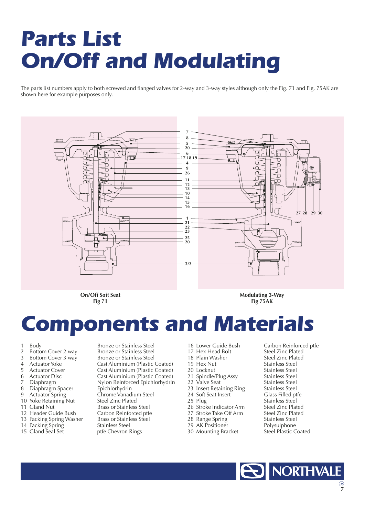# *Parts List On/Off and Modulating*

The parts list numbers apply to both screwed and flanged valves for 2-way and 3-way styles although only the Fig. 71 and Fig. 75AK are shown here for example purposes only.

![](_page_8_Figure_2.jpeg)

**Fig 71**

**Modulating 3-Way Fig 75AK**

## *Components and Materials*

- 
- 
- 
- 
- 
- 
- 
- 
- 10 Yoke Retaining Nut<br>11 Gland Nut
- 
- 
- 14 Packing Spring<br>15 Gland Seal Set
- 

1 Body Bronze or Stainless Steel<br>2 Bottom Cover 2 way Bronze or Stainless Steel 2 Bottom Cover 2 way Bronze or Stainless Steel<br>3 Bottom Cover 3 way Bronze or Stainless Steel Bottom Cover 3 way Bronze or Stainless Steel<br>Actuator Yoke Cast Aluminium (Plastic 4 Actuator Yoke Cast Aluminium (Plastic Coated) 5 Actuator Cover Cast Aluminium (Plastic Coated)<br>6 Actuator Disc Cast Aluminium (Plastic Coated) 6 Actuator Disc Cast Aluminium (Plastic Coated)<br>7 Diaphragm Cast Aluminium (Plastic Coated) Nylon Reinforced Epichlorhydrin 8 Diaphragm Spacer Epichlorhydrin<br>9 Actuator Spring Chrome Vanadi Chrome Vanadium Steel<br>Steel Zinc Plated Brass or Stainless Steel<br>Carbon Reinforced ptfe 12 Header Guide Bush<br>
13 Packing Spring Washer Brass or Stainless Steel 13 Packing Spring Washer Brass or Stainl<br>14 Packing Spring Stainless Steel ptfe Chevron Rings

- 
- 
- 18 Plain Washer<br>19 Hex Nut
- 
- 
- 
- 
- 
- 24 Soft Seat Insert<br>25 Plug
- 
- 
- 
- 
- 
- 30 Mounting Bracket

16 Lower Guide Bush Carbon Reinforced ptfe<br>17 Hex Head Bolt Steel Zinc Plated 17 Hex Head Bolt Steel Zinc Plated<br>18 Plain Washer Steel Zinc Plated Stainless Steel 20 Locknut Stainless Steel<br>
21 Spindle/Plug Assy Stainless Steel 21 Spindle/Plug Assy Stainless Steel<br>22 Valve Seat Stainless Steel 22 Valve Seat Stainless Steel<br>23 Insert Retaining Ring Stainless Steel 23 Insert Retaining Ring<br>
24 Soft Seat Insert<br>
Glass Filled ptfe Stainless Steel<br>Steel Zinc Plated 26 Stroke Indicator Arm Steel Zinc Plated<br>27 Stroke Take Off Arm Steel Zinc Plated 27 Stroke Take Off Arm Steel Zinc Plate<br>28 Range Spring Stainless Steel 28 Range Spring Stainless Steel<br>29 AK Positioner Polysulphone 29 AK Positioner **Polysulphone**<br>30 Mounting Bracket Steel Plastic Coated

![](_page_8_Picture_37.jpeg)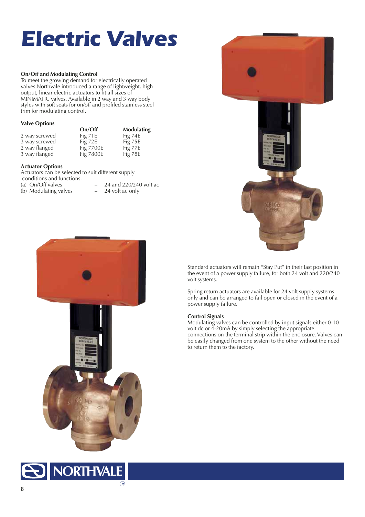# *Electric Valves*

#### **On/Off and Modulating Control**

To meet the growing demand for electrically operated valves Northvale introduced a range of lightweight, high output, linear electric actuators to fit all sizes of MINIMATIC valves. Available in 2 way and 3 way body styles with soft seats for on/off and profiled stainless steel trim for modulating control.

#### **Valve Options**

|               | On/Off    | <b>Modulating</b> |
|---------------|-----------|-------------------|
| 2 way screwed | Fig 71E   | Fig $74E$         |
| 3 way screwed | Fig $72E$ | Fig 75E           |
| 2 way flanged | Fig 7700E | Fig 77E           |
| 3 way flanged | Fig 7800E | Fig 78E           |

#### **Actuator Options**

Actuators can be selected to suit different supply

conditions and functions.<br>(a) On/Off valves

(b) Modulating valves

24 and  $220/240$  volt ac<br>24 volt ac only

![](_page_9_Picture_10.jpeg)

Standard actuators will remain "Stay Put" in their last position in the event of a power supply failure, for both 24 volt and 220/240 volt systems.

Spring return actuators are available for 24 volt supply systems only and can be arranged to fail open or closed in the event of a power supply failure.

#### **Control Signals**

Modulating valves can be controlled by input signals either 0-10 volt dc or 4-20mA by simply selecting the appropriate connections on the terminal strip within the enclosure. Valves can be easily changed from one system to the other without the need to return them to the factory.

![](_page_9_Picture_15.jpeg)

![](_page_9_Picture_16.jpeg)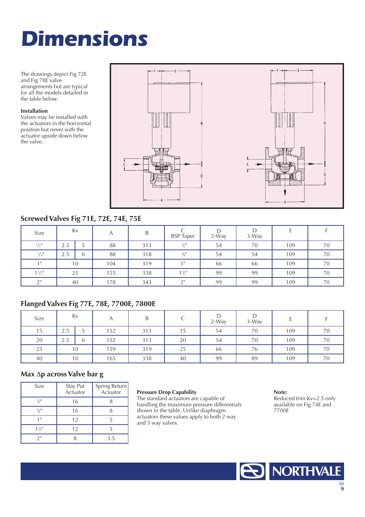# *Dimensions*

The drawings depict Fig 72E and Fig 78E valve arrangements but are typical for all the models detailed in the table below.

#### **Installation**

Valves may be installed with the actuators in the horizontal position but never with the actuator upside down below the valve.

![](_page_10_Figure_4.jpeg)

## **Screwed Valves Fig 71E, 72E, 74E, 75E**

| Size                        | Kv  |        | A   | B   | <b>BSP</b> Taper            | $2-Wav$ | $3-Wav$ |     |    |
|-----------------------------|-----|--------|-----|-----|-----------------------------|---------|---------|-----|----|
| $\frac{1}{2}$ <sup>11</sup> | 2.5 | -<br>ر | 88  | 313 | $\frac{1}{2}$ <sup>11</sup> | 54      | 70      | 109 | 70 |
| $3/4$ <sup>11</sup>         | 2.5 | b      | 88  | 318 | $\frac{3}{4}$ <sup>11</sup> | 54      | 54      | 109 | 70 |
| 1 <sup>H</sup>              |     | 10     | 104 | 319 | 1 <sup>H</sup>              | 66      | 66      | 109 | 70 |
| $1\frac{1}{2}$              | 25  |        | 155 | 338 | $1\frac{1}{2}$              | 99      | 99      | 109 | 70 |
| $2^{\rm H}$                 | 40  |        | 178 | 343 | $\bigcap$                   | 99      | 99      | 109 | 70 |

## **Flanged Valves Fig 77E, 78E, 7700E, 7800E**

| Size |          | Kv |     | D   |                      | 2-Way | $3-Wav$ |     |    |
|------|----------|----|-----|-----|----------------------|-------|---------|-----|----|
| 15   | -<br>2.5 | ر  | 152 | 313 | $\rightarrow$<br>כ ו | 54    | 70      | 109 | 70 |
| 20   | 2.5      | b  | 152 | 313 | 20                   | 54    | 70      | 109 | 70 |
| 25   |          | 10 | 159 | 319 | 25                   | 66    | 76      | 109 | 70 |
| 40   |          | 10 | 165 | 338 | 40                   | 99    | 89      | 109 | 70 |

#### **Max** ∆**p across Valve bar g**

| <b>Size</b>                 | Stay Put<br>Actuator | Spring Return<br>Actuator |
|-----------------------------|----------------------|---------------------------|
| 1/11                        | 16                   |                           |
| $\frac{3}{4}$ <sup>11</sup> | 16                   |                           |
| 1 II                        | 12                   |                           |
| $1\frac{1}{2}$              | 12                   |                           |
| フ=                          |                      | 3.5                       |

#### **Pressure Drop Capability**

The standard actuators are capable of handling the maximum pressure differentials shown in the table. Unlike diaphragm actuators these values apply to both 2 way and 3 way valves.

#### **Note:**

Reduced trim Kv=2.5 only available on Fig 74E and 7700E

![](_page_10_Picture_15.jpeg)